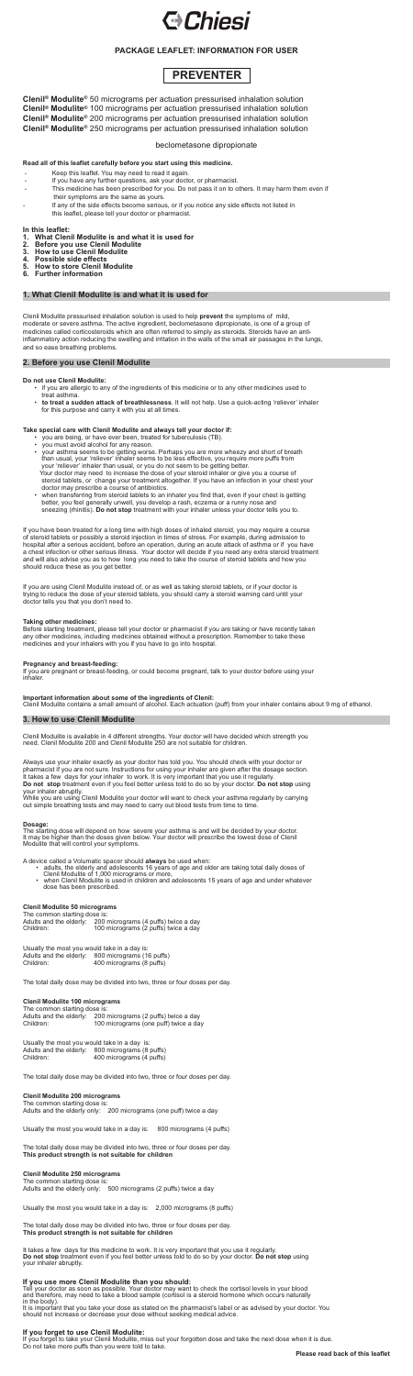

# **PACKAGE LEAFLET: INFORMATION FOR USER**

**Clenil ® Modulite®** 50 micrograms per actuation pressurised inhalation solution **Clenil ® Modulite®** 100 micrograms per actuation pressurised inhalation solution **Clenil ® Modulite®** 200 micrograms per actuation pressurised inhalation solution **Clenil ® Modulite®** 250 micrograms per actuation pressurised inhalation solution

### beclometasone dipropionate

#### **Read all of this leaflet carefully before you start using this medicine.**

- Keep this leaflet. You may need to read it again.
- If you have any further questions, ask your doctor, or pharmacist.
- This medicine has been prescribed for you. Do not pass it on to others. It may harm them even if their symptoms are the same as yours.
- If any of the side effects become serious, or if you notice any side effects not listed in
- this leaflet, please tell your doctor or pharmacist.

# **In this leaflet:**

- **1. What Clenil Modulite is and what it is used for**
- **2. Before you use Clenil Modulite**
- **3. How to use Clenil Modulite**
- **4. Possible side effects**
- **5. How to store Clenil Modulite**
- **6. Further information**

# **1. What Clenil Modulite is and what it is used for**

Clenil Modulite pressurised inhalation solution is used to help **prevent** the symptoms of mild, moderate or severe asthma. The active ingredient, beclometasone dipropionate, is one of a group of medicines called corticosteroids which are often referred to simply as steroids. Steroids have an antiinflammatory action reducing the swelling and irritation in the walls of the small air passages in the lungs, and so ease breathing problems.

### **2. Before you use Clenil Modulite**

#### **Do not use Clenil Modulite:**

- if you are allergic to any of the ingredients of this medicine or to any other medicines used to treat asthma.
- **to treat a sudden attack of breathlessness**. It will not help. Use a quick-acting 'reliever' inhaler for this purpose and carry it with you at all times.

### **Take special care with Clenil Modulite and always tell your doctor if:**

- you are being, or have ever been, treated for tuberculosis (TB).
	- you must avoid alcohol for any reason.
	- your asthma seems to be getting worse. Perhaps you are more wheezy and short of breath than usual, your 'reliever' inhaler seems to be less effective, you require more puffs from your 'reliever' inhaler than usual, or you do not seem to be getting better. Your doctor may need to increase the dose of your steroid inhaler or give you a course of steroid tablets, or change your treatment altogether. If you have an infection in your chest your doctor may prescribe a course of antibiotics.
	- when transferring from steroid tablets to an inhaler you find that, even if your chest is getting better, you feel generally unwell, you develop a rash, eczema or a runny nose and sneezing (rhinitis). **Do not stop** treatment with your inhaler unless your doctor tells you to.

The common starting dose is: Adults and the elderly: 200 micrograms (2 puffs) twice a day<br>Children: 100 micrograms (one puff) twice a da 100 micrograms (one puff) twice a day

Usually the most you would take in a day is: Adults and the elderly: 800 micrograms (8 puffs)<br>Children: 400 micrograms (4 puffs) 400 micrograms (4 puffs)

If you have been treated for a long time with high doses of inhaled steroid, you may require a course of steroid tablets or possibly a steroid injection in times of stress. For example, during admission to hospital after a serious accident, before an operation, during an acute attack of asthma or if you have a chest infection or other serious illness. Your doctor will decide if you need any extra steroid treatment and will also advise you as to how long you need to take the course of steroid tablets and how you should reduce these as you get better.

If you are using Clenil Modulite instead of, or as well as taking steroid tablets, or if your doctor is trying to reduce the dose of your steroid tablets, you should carry a steroid warning card until your doctor tells you that you don't need to.

#### **Taking other medicines:**

Before starting treatment, please tell your doctor or pharmacist if you are taking or have recently taken any other medicines, including medicines obtained without a prescription. Remember to take these medicines and your inhalers with you if you have to go into hospital.

### **Pregnancy and breast-feeding:**

If you are pregnant or breast-feeding, or could become pregnant, talk to your doctor before using your inhaler.

**Important information about some of the ingredients of Clenil:** Clenil Modulite contains a small amount of alcohol. Each actuation (puff) from your inhaler contains about 9 mg of ethanol.

#### **3. How to use Clenil Modulite**

Clenil Modulite is available in 4 different strengths. Your doctor will have decided which strength you need. Clenil Modulite 200 and Clenil Modulite 250 are not suitable for children.

Always use your inhaler exactly as your doctor has told you. You should check with your doctor or pharmacist if you are not sure. Instructions for using your inhaler are given after the dosage section. It takes a few days for your inhaler to work. It is very important that you use it regularly. **Do not stop** treatment even if you feel better unless told to do so by your doctor. **Do not stop** using your inhaler abruptly.

While you are using Clenil Modulite your doctor will want to check your asthma regularly by carrying out simple breathing tests and may need to carry out blood tests from time to time.

**Dosage:** The starting dose will depend on how severe your asthma is and will be decided by your doctor. It may be higher than the doses given below. Your doctor will prescribe the lowest dose of Clenil Modulite that will control your symptoms.

A device called a Volumatic spacer should **always** be used when:

- adults, the elderly and adolescents 16 years of age and older are taking total daily doses of Clenil Modulite of 1,000 micrograms or more,
- when Clenil Modulite is used in children and adolescents 15 years of age and under whatever dose has been prescribed.

#### **Clenil Modulite 50 micrograms**

The common starting dose is: Adults and the elderly: 200 micrograms (4 puffs) twice a day Children: 100 micrograms (2 puffs) twice a day

| Usually the most you would take in a day is: |                           |
|----------------------------------------------|---------------------------|
| Adults and the elderly:                      | 800 micrograms (16 puffs) |
| Children:                                    | 400 micrograms (8 puffs)  |

The total daily dose may be divided into two, three or four doses per day.

#### **Clenil Modulite 100 micrograms**

The total daily dose may be divided into two, three or four doses per day.

#### **Clenil Modulite 200 micrograms**

The common starting dose is: Adults and the elderly only: 200 micrograms (one puff) twice a day

Usually the most you would take in a day is: 800 micrograms (4 puffs)

The total daily dose may be divided into two, three or four doses per day. **This product strength is not suitable for children**

#### **Clenil Modulite 250 micrograms**

The common starting dose is:

Adults and the elderly only: 500 micrograms (2 puffs) twice a day

Usually the most you would take in a day is: 2,000 micrograms (8 puffs)

The total daily dose may be divided into two, three or four doses per day. **This product strength is not suitable for children**

It takes a few days for this medicine to work. It is very important that you use it regularly. **Do not stop** treatment even if you feel better unless told to do so by your doctor. **Do not stop** using your inhaler abruptly.

### **If you use more Clenil Modulite than you should:**

Tell your doctor as soon as possible. Your doctor may want to check the cortisol levels in your blood and therefore, may need to take a blood sample (cortisol is a steroid hormone which occurs naturally in the body).

It is important that you take your dose as stated on the pharmacist's label or as advised by your doctor. You should not increase or decrease your dose without seeking medical advice.

### **If you forget to use Clenil Modulite:**

If you forget to take your Clenil Modulite, miss out your forgotten dose and take the next dose when it is due. Do not take more puffs than you were told to take.

# **PREVENTER**